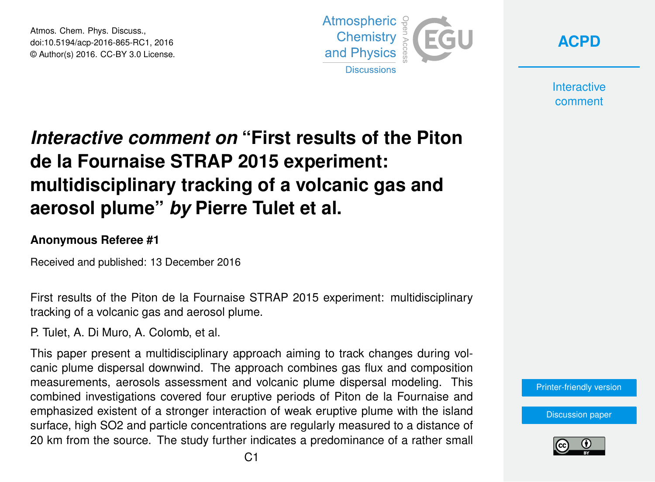Atmos. Chem. Phys. Discuss., doi:10.5194/acp-2016-865-RC1, 2016 © Author(s) 2016. CC-BY 3.0 License.





**Interactive** comment

# *Interactive comment on* **"First results of the Piton de la Fournaise STRAP 2015 experiment: multidisciplinary tracking of a volcanic gas and aerosol plume"** *by* **Pierre Tulet et al.**

### **Anonymous Referee #1**

Received and published: 13 December 2016

First results of the Piton de la Fournaise STRAP 2015 experiment: multidisciplinary tracking of a volcanic gas and aerosol plume.

P. Tulet, A. Di Muro, A. Colomb, et al.

This paper present a multidisciplinary approach aiming to track changes during volcanic plume dispersal downwind. The approach combines gas flux and composition measurements, aerosols assessment and volcanic plume dispersal modeling. This combined investigations covered four eruptive periods of Piton de la Fournaise and emphasized existent of a stronger interaction of weak eruptive plume with the island surface, high SO2 and particle concentrations are regularly measured to a distance of 20 km from the source. The study further indicates a predominance of a rather small

[Printer-friendly version](http://www.atmos-chem-phys-discuss.net/acp-2016-865/acp-2016-865-RC1-print.pdf)

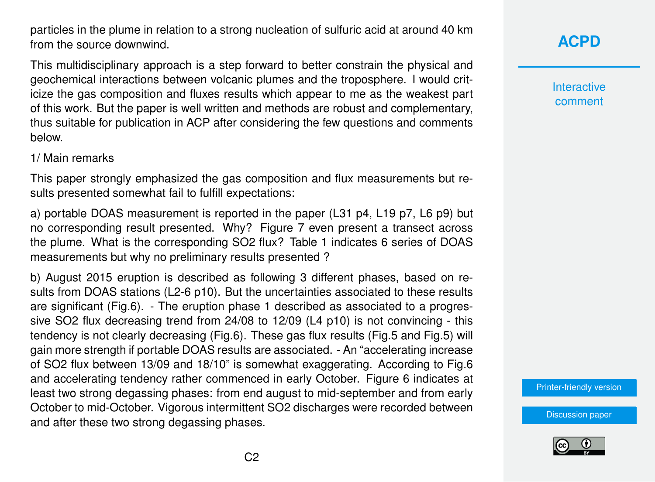particles in the plume in relation to a strong nucleation of sulfuric acid at around 40 km from the source downwind.

This multidisciplinary approach is a step forward to better constrain the physical and geochemical interactions between volcanic plumes and the troposphere. I would criticize the gas composition and fluxes results which appear to me as the weakest part of this work. But the paper is well written and methods are robust and complementary, thus suitable for publication in ACP after considering the few questions and comments below.

#### 1/ Main remarks

This paper strongly emphasized the gas composition and flux measurements but results presented somewhat fail to fulfill expectations:

a) portable DOAS measurement is reported in the paper (L31 p4, L19 p7, L6 p9) but no corresponding result presented. Why? Figure 7 even present a transect across the plume. What is the corresponding SO2 flux? Table 1 indicates 6 series of DOAS measurements but why no preliminary results presented ?

b) August 2015 eruption is described as following 3 different phases, based on results from DOAS stations (L2-6 p10). But the uncertainties associated to these results are significant (Fig.6). - The eruption phase 1 described as associated to a progressive SO2 flux decreasing trend from 24/08 to 12/09 (L4 p10) is not convincing - this tendency is not clearly decreasing (Fig.6). These gas flux results (Fig.5 and Fig.5) will gain more strength if portable DOAS results are associated. - An "accelerating increase of SO2 flux between 13/09 and 18/10" is somewhat exaggerating. According to Fig.6 and accelerating tendency rather commenced in early October. Figure 6 indicates at least two strong degassing phases: from end august to mid-september and from early October to mid-October. Vigorous intermittent SO2 discharges were recorded between and after these two strong degassing phases.

# **[ACPD](http://www.atmos-chem-phys-discuss.net/)**

**Interactive** comment

[Printer-friendly version](http://www.atmos-chem-phys-discuss.net/acp-2016-865/acp-2016-865-RC1-print.pdf)

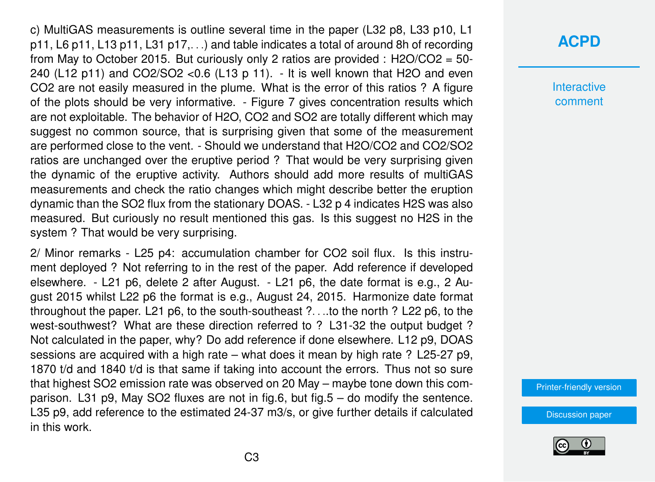c) MultiGAS measurements is outline several time in the paper (L32 p8, L33 p10, L1 p11, L6 p11, L13 p11, L31 p17,. . .) and table indicates a total of around 8h of recording from May to October 2015. But curiously only 2 ratios are provided :  $H2O/CO2 = 50$ 240 (L12 p11) and CO2/SO2 <  $0.6$  (L13 p 11). - It is well known that H2O and even CO2 are not easily measured in the plume. What is the error of this ratios ? A figure of the plots should be very informative. - Figure 7 gives concentration results which are not exploitable. The behavior of H2O, CO2 and SO2 are totally different which may suggest no common source, that is surprising given that some of the measurement are performed close to the vent. - Should we understand that H2O/CO2 and CO2/SO2 ratios are unchanged over the eruptive period ? That would be very surprising given the dynamic of the eruptive activity. Authors should add more results of multiGAS measurements and check the ratio changes which might describe better the eruption dynamic than the SO2 flux from the stationary DOAS. - L32 p 4 indicates H2S was also measured. But curiously no result mentioned this gas. Is this suggest no H2S in the system ? That would be very surprising.

2/ Minor remarks - L25 p4: accumulation chamber for CO2 soil flux. Is this instrument deployed ? Not referring to in the rest of the paper. Add reference if developed elsewhere. - L21 p6, delete 2 after August. - L21 p6, the date format is e.g., 2 August 2015 whilst L22 p6 the format is e.g., August 24, 2015. Harmonize date format throughout the paper. L21 p6, to the south-southeast ?. . ..to the north ? L22 p6, to the west-southwest? What are these direction referred to ? L31-32 the output budget ? Not calculated in the paper, why? Do add reference if done elsewhere. L12 p9, DOAS sessions are acquired with a high rate – what does it mean by high rate ? L25-27 p9. 1870 t/d and 1840 t/d is that same if taking into account the errors. Thus not so sure that highest SO2 emission rate was observed on 20 May – maybe tone down this comparison. L31 p9, May SO2 fluxes are not in fig.6, but fig.5 – do modify the sentence. L35 p9, add reference to the estimated 24-37 m3/s, or give further details if calculated in this work.

### **[ACPD](http://www.atmos-chem-phys-discuss.net/)**

**Interactive** comment

[Printer-friendly version](http://www.atmos-chem-phys-discuss.net/acp-2016-865/acp-2016-865-RC1-print.pdf)